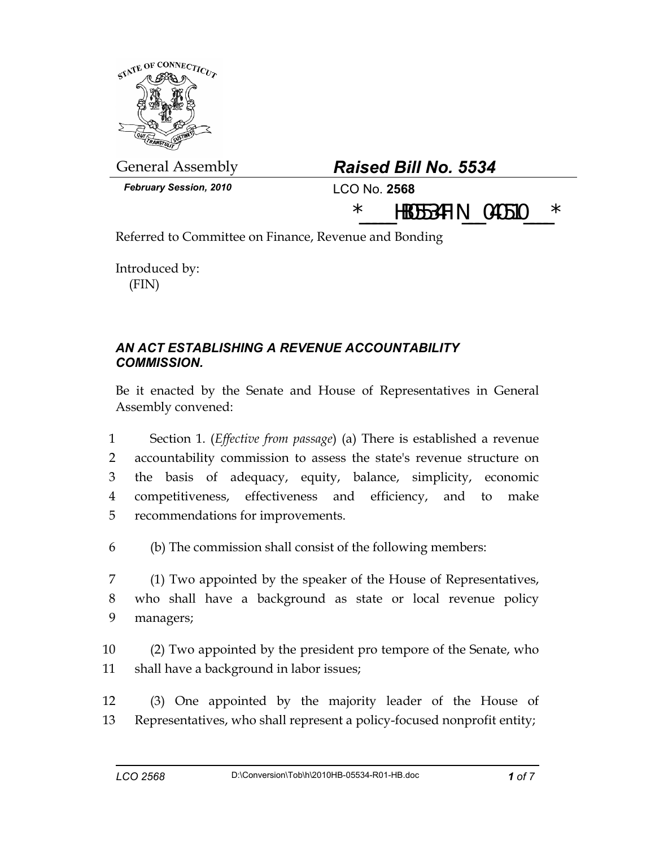

## General Assembly *Raised Bill No. 5534*

 $*$  **hboss4fin 040510** 

*February Session, 2010* LCO No. **2568**

Referred to Committee on Finance, Revenue and Bonding

Introduced by: (FIN)

## *AN ACT ESTABLISHING A REVENUE ACCOUNTABILITY COMMISSION.*

Be it enacted by the Senate and House of Representatives in General Assembly convened:

1 Section 1. (*Effective from passage*) (a) There is established a revenue 2 accountability commission to assess the state's revenue structure on 3 the basis of adequacy, equity, balance, simplicity, economic 4 competitiveness, effectiveness and efficiency, and to make 5 recommendations for improvements.

6 (b) The commission shall consist of the following members:

7 (1) Two appointed by the speaker of the House of Representatives, 8 who shall have a background as state or local revenue policy 9 managers;

10 (2) Two appointed by the president pro tempore of the Senate, who 11 shall have a background in labor issues;

12 (3) One appointed by the majority leader of the House of 13 Representatives, who shall represent a policy-focused nonprofit entity;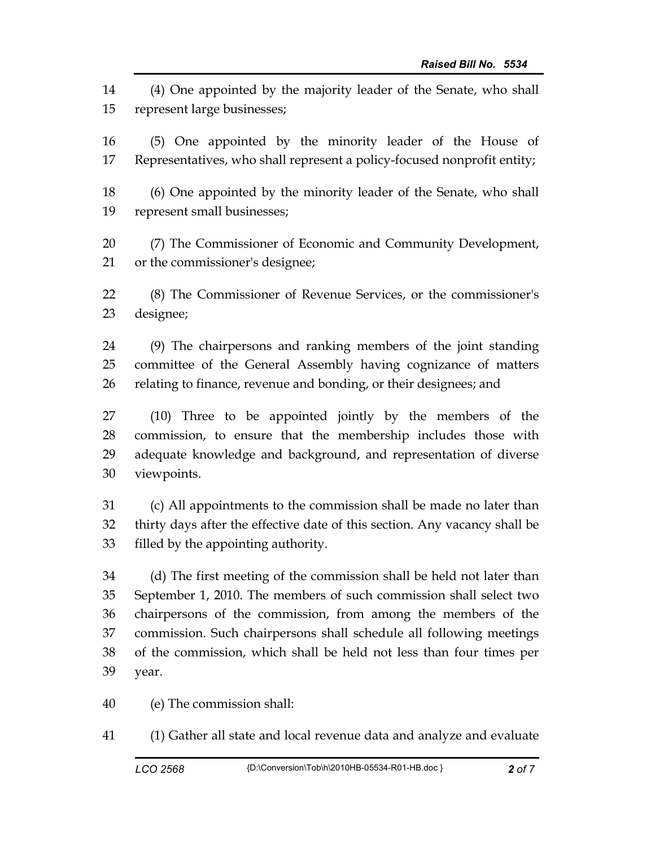14 (4) One appointed by the majority leader of the Senate, who shall 15 represent large businesses;

16 (5) One appointed by the minority leader of the House of 17 Representatives, who shall represent a policy-focused nonprofit entity;

18 (6) One appointed by the minority leader of the Senate, who shall 19 represent small businesses;

20 (7) The Commissioner of Economic and Community Development, 21 or the commissioner's designee;

22 (8) The Commissioner of Revenue Services, or the commissioner's 23 designee;

24 (9) The chairpersons and ranking members of the joint standing 25 committee of the General Assembly having cognizance of matters 26 relating to finance, revenue and bonding, or their designees; and

27 (10) Three to be appointed jointly by the members of the 28 commission, to ensure that the membership includes those with 29 adequate knowledge and background, and representation of diverse 30 viewpoints.

31 (c) All appointments to the commission shall be made no later than 32 thirty days after the effective date of this section. Any vacancy shall be 33 filled by the appointing authority.

34 (d) The first meeting of the commission shall be held not later than 35 September 1, 2010. The members of such commission shall select two 36 chairpersons of the commission, from among the members of the 37 commission. Such chairpersons shall schedule all following meetings 38 of the commission, which shall be held not less than four times per 39 year.

40 (e) The commission shall:

41 (1) Gather all state and local revenue data and analyze and evaluate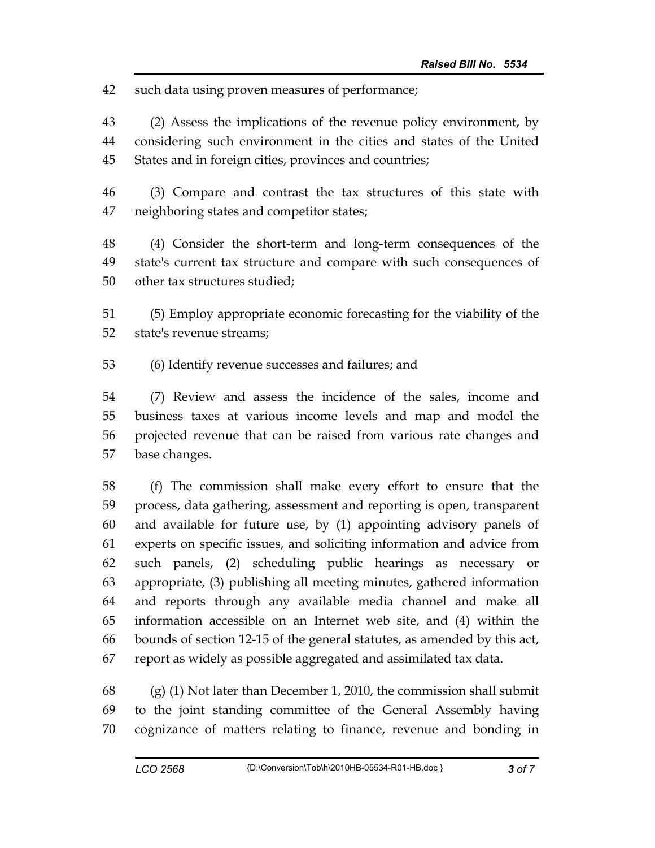42 such data using proven measures of performance;

43 (2) Assess the implications of the revenue policy environment, by 44 considering such environment in the cities and states of the United 45 States and in foreign cities, provinces and countries;

46 (3) Compare and contrast the tax structures of this state with 47 neighboring states and competitor states;

48 (4) Consider the short-term and long-term consequences of the 49 state's current tax structure and compare with such consequences of 50 other tax structures studied;

51 (5) Employ appropriate economic forecasting for the viability of the 52 state's revenue streams;

53 (6) Identify revenue successes and failures; and

54 (7) Review and assess the incidence of the sales, income and 55 business taxes at various income levels and map and model the 56 projected revenue that can be raised from various rate changes and 57 base changes.

58 (f) The commission shall make every effort to ensure that the 59 process, data gathering, assessment and reporting is open, transparent 60 and available for future use, by (1) appointing advisory panels of 61 experts on specific issues, and soliciting information and advice from 62 such panels, (2) scheduling public hearings as necessary or 63 appropriate, (3) publishing all meeting minutes, gathered information 64 and reports through any available media channel and make all 65 information accessible on an Internet web site, and (4) within the 66 bounds of section 12-15 of the general statutes, as amended by this act, 67 report as widely as possible aggregated and assimilated tax data.

68 (g) (1) Not later than December 1, 2010, the commission shall submit 69 to the joint standing committee of the General Assembly having 70 cognizance of matters relating to finance, revenue and bonding in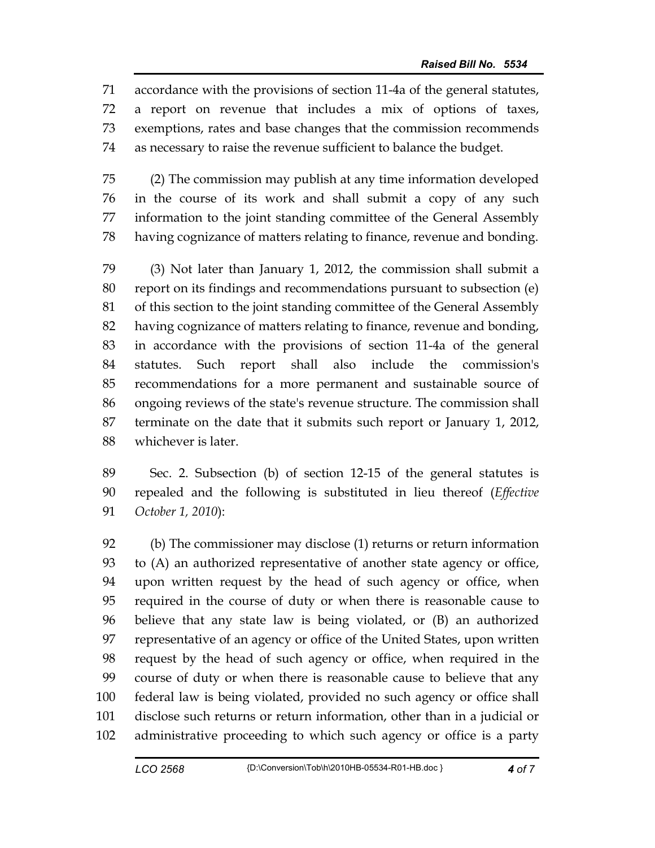71 accordance with the provisions of section 11-4a of the general statutes, 72 a report on revenue that includes a mix of options of taxes, 73 exemptions, rates and base changes that the commission recommends 74 as necessary to raise the revenue sufficient to balance the budget.

75 (2) The commission may publish at any time information developed 76 in the course of its work and shall submit a copy of any such 77 information to the joint standing committee of the General Assembly 78 having cognizance of matters relating to finance, revenue and bonding.

79 (3) Not later than January 1, 2012, the commission shall submit a 80 report on its findings and recommendations pursuant to subsection (e) 81 of this section to the joint standing committee of the General Assembly 82 having cognizance of matters relating to finance, revenue and bonding, 83 in accordance with the provisions of section 11-4a of the general 84 statutes. Such report shall also include the commission's 85 recommendations for a more permanent and sustainable source of 86 ongoing reviews of the state's revenue structure. The commission shall 87 terminate on the date that it submits such report or January 1, 2012, 88 whichever is later.

89 Sec. 2. Subsection (b) of section 12-15 of the general statutes is 90 repealed and the following is substituted in lieu thereof (*Effective*  91 *October 1, 2010*):

92 (b) The commissioner may disclose (1) returns or return information 93 to (A) an authorized representative of another state agency or office, 94 upon written request by the head of such agency or office, when 95 required in the course of duty or when there is reasonable cause to 96 believe that any state law is being violated, or (B) an authorized 97 representative of an agency or office of the United States, upon written 98 request by the head of such agency or office, when required in the 99 course of duty or when there is reasonable cause to believe that any 100 federal law is being violated, provided no such agency or office shall 101 disclose such returns or return information, other than in a judicial or 102 administrative proceeding to which such agency or office is a party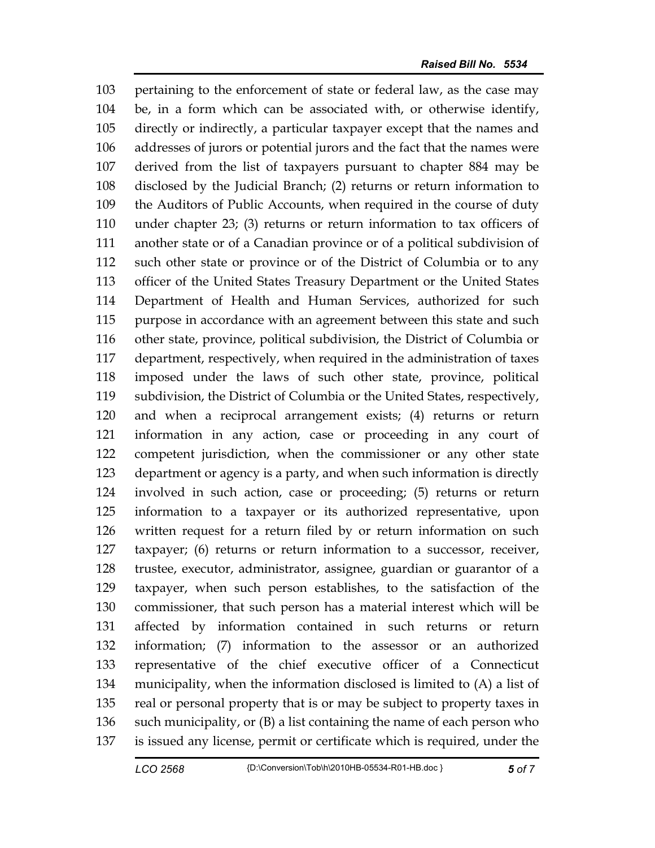103 pertaining to the enforcement of state or federal law, as the case may 104 be, in a form which can be associated with, or otherwise identify, 105 directly or indirectly, a particular taxpayer except that the names and 106 addresses of jurors or potential jurors and the fact that the names were 107 derived from the list of taxpayers pursuant to chapter 884 may be 108 disclosed by the Judicial Branch; (2) returns or return information to 109 the Auditors of Public Accounts, when required in the course of duty 110 under chapter 23; (3) returns or return information to tax officers of 111 another state or of a Canadian province or of a political subdivision of 112 such other state or province or of the District of Columbia or to any 113 officer of the United States Treasury Department or the United States 114 Department of Health and Human Services, authorized for such 115 purpose in accordance with an agreement between this state and such 116 other state, province, political subdivision, the District of Columbia or 117 department, respectively, when required in the administration of taxes 118 imposed under the laws of such other state, province, political 119 subdivision, the District of Columbia or the United States, respectively, 120 and when a reciprocal arrangement exists; (4) returns or return 121 information in any action, case or proceeding in any court of 122 competent jurisdiction, when the commissioner or any other state 123 department or agency is a party, and when such information is directly 124 involved in such action, case or proceeding; (5) returns or return 125 information to a taxpayer or its authorized representative, upon 126 written request for a return filed by or return information on such 127 taxpayer; (6) returns or return information to a successor, receiver, 128 trustee, executor, administrator, assignee, guardian or guarantor of a 129 taxpayer, when such person establishes, to the satisfaction of the 130 commissioner, that such person has a material interest which will be 131 affected by information contained in such returns or return 132 information; (7) information to the assessor or an authorized 133 representative of the chief executive officer of a Connecticut 134 municipality, when the information disclosed is limited to (A) a list of 135 real or personal property that is or may be subject to property taxes in 136 such municipality, or (B) a list containing the name of each person who 137 is issued any license, permit or certificate which is required, under the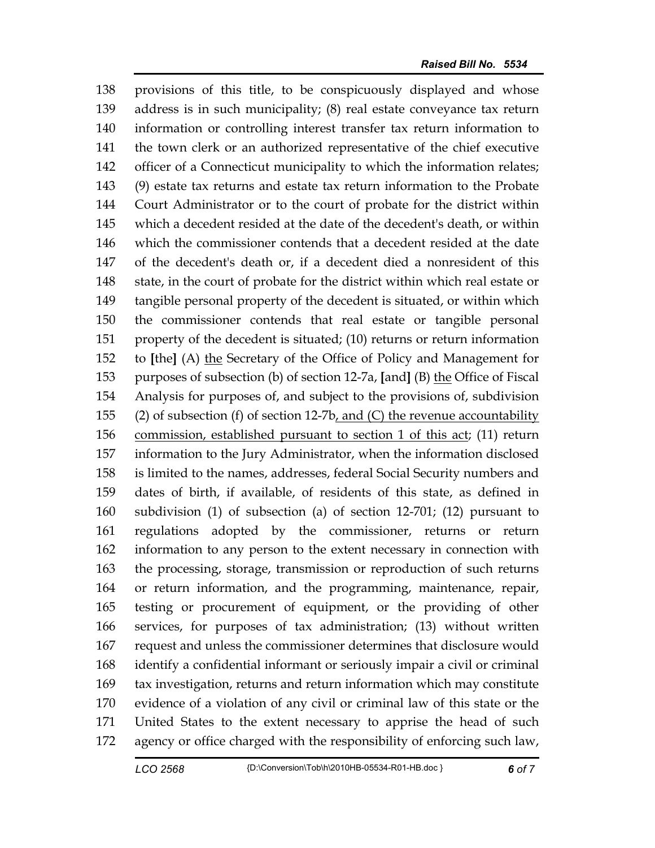138 provisions of this title, to be conspicuously displayed and whose 139 address is in such municipality; (8) real estate conveyance tax return 140 information or controlling interest transfer tax return information to 141 the town clerk or an authorized representative of the chief executive 142 officer of a Connecticut municipality to which the information relates; 143 (9) estate tax returns and estate tax return information to the Probate 144 Court Administrator or to the court of probate for the district within 145 which a decedent resided at the date of the decedent's death, or within 146 which the commissioner contends that a decedent resided at the date 147 of the decedent's death or, if a decedent died a nonresident of this 148 state, in the court of probate for the district within which real estate or 149 tangible personal property of the decedent is situated, or within which 150 the commissioner contends that real estate or tangible personal 151 property of the decedent is situated; (10) returns or return information 152 to **[**the**]** (A) the Secretary of the Office of Policy and Management for 153 purposes of subsection (b) of section 12-7a, **[**and**]** (B) the Office of Fiscal 154 Analysis for purposes of, and subject to the provisions of, subdivision 155 (2) of subsection (f) of section 12-7b, and (C) the revenue accountability 156 commission, established pursuant to section 1 of this act; (11) return 157 information to the Jury Administrator, when the information disclosed 158 is limited to the names, addresses, federal Social Security numbers and 159 dates of birth, if available, of residents of this state, as defined in 160 subdivision (1) of subsection (a) of section 12-701; (12) pursuant to 161 regulations adopted by the commissioner, returns or return 162 information to any person to the extent necessary in connection with 163 the processing, storage, transmission or reproduction of such returns 164 or return information, and the programming, maintenance, repair, 165 testing or procurement of equipment, or the providing of other 166 services, for purposes of tax administration; (13) without written 167 request and unless the commissioner determines that disclosure would 168 identify a confidential informant or seriously impair a civil or criminal 169 tax investigation, returns and return information which may constitute 170 evidence of a violation of any civil or criminal law of this state or the 171 United States to the extent necessary to apprise the head of such 172 agency or office charged with the responsibility of enforcing such law,